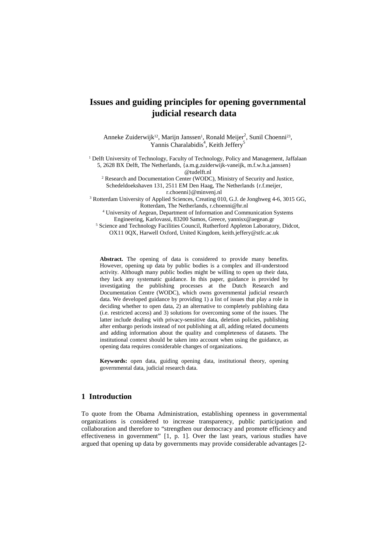# **Issues and guiding principles for opening governmental judicial research data**

Anneke Zuiderwijk<sup>12</sup>, Marijn Janssen<sup>1</sup>, Ronald Meijer<sup>2</sup>, Sunil Choenni<sup>23</sup>, Yannis Charalabidis<sup>4</sup>, Keith Jeffery<sup>5</sup>

<sup>1</sup> Delft University of Technology, Faculty of Technology, Policy and Management, Jaffalaan 5, 2628 BX Delft, The Netherlands, {a.m.g.zuiderwijk-vaneijk, m.f.w.h.a.janssen}

@tudelft.nl

<sup>2</sup> Research and Documentation Center (WODC), Ministry of Security and Justice, Schedeldoekshaven 131, 2511 EM Den Haag, The Netherlands {r.f.meijer, r.choenni}@minvenj.nl

3 Rotterdam University of Applied Sciences, Creating 010, G.J. de Jonghweg 4-6, 3015 GG, Rotterdam, The Netherlands, r.choenni@hr.nl

4 University of Aegean, Department of Information and Communication Systems Engineering, Karlovassi, 83200 Samos, Greece, yannisx@aegean.gr

<sup>5</sup> Science and Technology Facilities Council, Rutherford Appleton Laboratory, Didcot, OX11 0QX, Harwell Oxford, United Kingdom, keith.jeffery@stfc.ac.uk

**Abstract.** The opening of data is considered to provide many benefits. However, opening up data by public bodies is a complex and ill-understood activity. Although many public bodies might be willing to open up their data, they lack any systematic guidance. In this paper, guidance is provided by investigating the publishing processes at the Dutch Research and Documentation Centre (WODC), which owns governmental judicial research data. We developed guidance by providing 1) a list of issues that play a role in deciding whether to open data, 2) an alternative to completely publishing data (i.e. restricted access) and 3) solutions for overcoming some of the issues. The latter include dealing with privacy-sensitive data, deletion policies, publishing after embargo periods instead of not publishing at all, adding related documents and adding information about the quality and completeness of datasets. The institutional context should be taken into account when using the guidance, as opening data requires considerable changes of organizations.

**Keywords:** open data, guiding opening data, institutional theory, opening governmental data, judicial research data.

# **1 Introduction**

To quote from the Obama Administration, establishing openness in governmental organizations is considered to increase transparency, public participation and collaboration and therefore to "strengthen our democracy and promote efficiency and effectiveness in government" [1, p. 1]. Over the last years, various studies have argued that opening up data by governments may provide considerable advantages [2-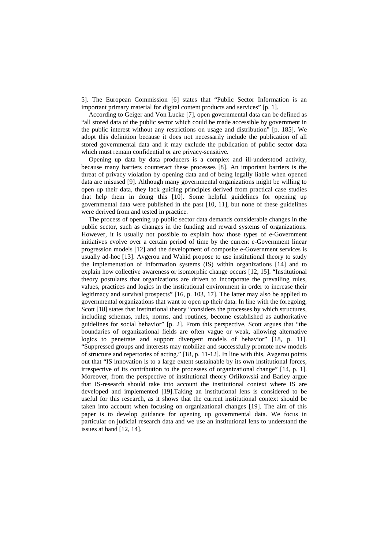5]. The European Commission [6] states that "Public Sector Information is an important primary material for digital content products and services" [p. 1].

According to Geiger and Von Lucke [7], open governmental data can be defined as "all stored data of the public sector which could be made accessible by government in the public interest without any restrictions on usage and distribution" [p. 185]. We adopt this definition because it does not necessarily include the publication of all stored governmental data and it may exclude the publication of public sector data which must remain confidential or are privacy-sensitive.

Opening up data by data producers is a complex and ill-understood activity, because many barriers counteract these processes [8]. An important barriers is the threat of privacy violation by opening data and of being legally liable when opened data are misused [9]. Although many governmental organizations might be willing to open up their data, they lack guiding principles derived from practical case studies that help them in doing this [10]. Some helpful guidelines for opening up governmental data were published in the past [10, 11], but none of these guidelines were derived from and tested in practice.

The process of opening up public sector data demands considerable changes in the public sector, such as changes in the funding and reward systems of organizations. However, it is usually not possible to explain how those types of e-Government initiatives evolve over a certain period of time by the current e-Government linear progression models [12] and the development of composite e-Government services is usually ad-hoc [13]. Avgerou and Wahid propose to use institutional theory to study the implementation of information systems (IS) within organizations [14] and to explain how collective awareness or isomorphic change occurs [12, 15]. "Institutional theory postulates that organizations are driven to incorporate the prevailing rules, values, practices and logics in the institutional environment in order to increase their legitimacy and survival prospects" [16, p. 103, 17]. The latter may also be applied to governmental organizations that want to open up their data. In line with the foregoing, Scott [18] states that institutional theory "considers the processes by which structures, including schemas, rules, norms, and routines, become established as authoritative guidelines for social behavior" [p. 2]. From this perspective, Scott argues that "the boundaries of organizational fields are often vague or weak, allowing alternative logics to penetrate and support divergent models of behavior" [18, p. 11]. "Suppressed groups and interests may mobilize and successfully promote new models of structure and repertories of acting." [18, p. 11-12]. In line with this, Avgerou points out that "IS innovation is to a large extent sustainable by its own institutional forces, irrespective of its contribution to the processes of organizational change" [14, p. 1]. Moreover, from the perspective of institutional theory Orlikowski and Barley argue that IS-research should take into account the institutional context where IS are developed and implemented [19].Taking an institutional lens is considered to be useful for this research, as it shows that the current institutional context should be taken into account when focusing on organizational changes [19]. The aim of this paper is to develop guidance for opening up governmental data. We focus in particular on judicial research data and we use an institutional lens to understand the issues at hand [12, 14].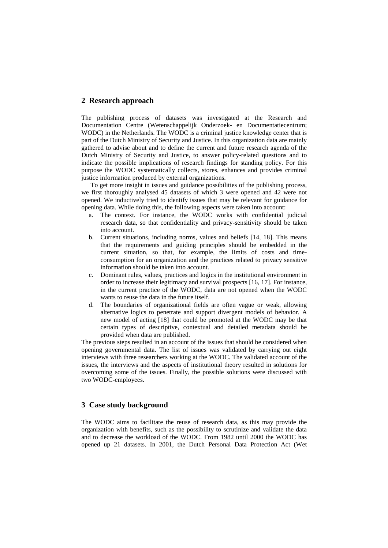# **2 Research approach**

The publishing process of datasets was investigated at the Research and Documentation Centre (Wetenschappelijk Onderzoek- en Documentatiecentrum; WODC) in the Netherlands. The WODC is a criminal justice knowledge center that is part of the Dutch Ministry of Security and Justice. In this organization data are mainly gathered to advise about and to define the current and future research agenda of the Dutch Ministry of Security and Justice, to answer policy-related questions and to indicate the possible implications of research findings for standing policy. For this purpose the WODC systematically collects, stores, enhances and provides criminal justice information produced by external organizations.

 To get more insight in issues and guidance possibilities of the publishing process, we first thoroughly analysed 45 datasets of which 3 were opened and 42 were not opened. We inductively tried to identify issues that may be relevant for guidance for opening data. While doing this, the following aspects were taken into account:

- a. The context. For instance, the WODC works with confidential judicial research data, so that confidentiality and privacy-sensitivity should be taken into account.
- b. Current situations, including norms, values and beliefs [14, 18]. This means that the requirements and guiding principles should be embedded in the current situation, so that, for example, the limits of costs and timeconsumption for an organization and the practices related to privacy sensitive information should be taken into account.
- c. Dominant rules, values, practices and logics in the institutional environment in order to increase their legitimacy and survival prospects [16, 17]. For instance, in the current practice of the WODC, data are not opened when the WODC wants to reuse the data in the future itself.
- d. The boundaries of organizational fields are often vague or weak, allowing alternative logics to penetrate and support divergent models of behavior. A new model of acting [18] that could be promoted at the WODC may be that certain types of descriptive, contextual and detailed metadata should be provided when data are published.

The previous steps resulted in an account of the issues that should be considered when opening governmental data. The list of issues was validated by carrying out eight interviews with three researchers working at the WODC. The validated account of the issues, the interviews and the aspects of institutional theory resulted in solutions for overcoming some of the issues. Finally, the possible solutions were discussed with two WODC-employees.

# **3 Case study background**

The WODC aims to facilitate the reuse of research data, as this may provide the organization with benefits, such as the possibility to scrutinize and validate the data and to decrease the workload of the WODC. From 1982 until 2000 the WODC has opened up 21 datasets. In 2001, the Dutch Personal Data Protection Act (Wet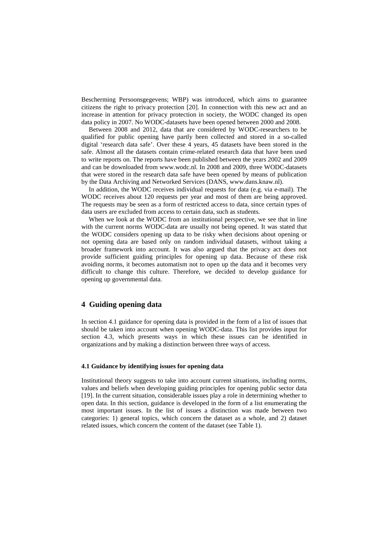Bescherming Persoonsgegevens; WBP) was introduced, which aims to guarantee citizens the right to privacy protection [20]. In connection with this new act and an increase in attention for privacy protection in society, the WODC changed its open data policy in 2007. No WODC-datasets have been opened between 2000 and 2008.

Between 2008 and 2012, data that are considered by WODC-researchers to be qualified for public opening have partly been collected and stored in a so-called digital 'research data safe'. Over these 4 years, 45 datasets have been stored in the safe. Almost all the datasets contain crime-related research data that have been used to write reports on. The reports have been published between the years 2002 and 2009 and can be downloaded from www.wodc.nl. In 2008 and 2009, three WODC-datasets that were stored in the research data safe have been opened by means of publication by the Data Archiving and Networked Services (DANS, www.dans.knaw.nl).

In addition, the WODC receives individual requests for data (e.g. via e-mail). The WODC receives about 120 requests per year and most of them are being approved. The requests may be seen as a form of restricted access to data, since certain types of data users are excluded from access to certain data, such as students.

When we look at the WODC from an institutional perspective, we see that in line with the current norms WODC-data are usually not being opened. It was stated that the WODC considers opening up data to be risky when decisions about opening or not opening data are based only on random individual datasets, without taking a broader framework into account. It was also argued that the privacy act does not provide sufficient guiding principles for opening up data. Because of these risk avoiding norms, it becomes automatism not to open up the data and it becomes very difficult to change this culture. Therefore, we decided to develop guidance for opening up governmental data.

# **4 Guiding opening data**

In section 4.1 guidance for opening data is provided in the form of a list of issues that should be taken into account when opening WODC-data. This list provides input for section 4.3, which presents ways in which these issues can be identified in organizations and by making a distinction between three ways of access.

## **4.1 Guidance by identifying issues for opening data**

Institutional theory suggests to take into account current situations, including norms, values and beliefs when developing guiding principles for opening public sector data [19]. In the current situation, considerable issues play a role in determining whether to open data. In this section, guidance is developed in the form of a list enumerating the most important issues. In the list of issues a distinction was made between two categories: 1) general topics, which concern the dataset as a whole, and 2) dataset related issues, which concern the content of the dataset (see Table 1).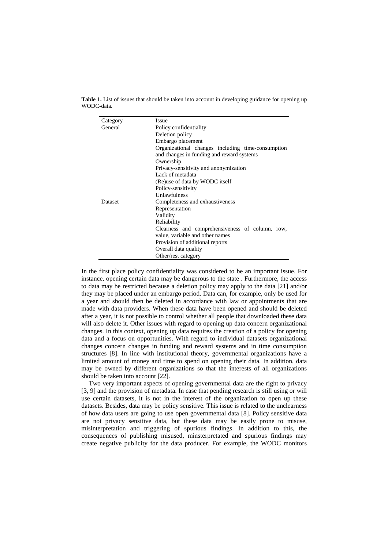**Table 1.** List of issues that should be taken into account in developing guidance for opening up WODC-data.

| Category       | Issue                                             |
|----------------|---------------------------------------------------|
| General        | Policy confidentiality                            |
|                | Deletion policy                                   |
|                | Embargo placement                                 |
|                | Organizational changes including time-consumption |
|                | and changes in funding and reward systems         |
|                | Ownership                                         |
|                | Privacy-sensitivity and anonymization             |
|                | Lack of metadata                                  |
|                | (Re)use of data by WODC itself                    |
|                | Policy-sensitivity                                |
|                | Unlawfulness                                      |
| <b>Dataset</b> | Completeness and exhaustiveness                   |
|                | Representation                                    |
|                | Validity                                          |
|                | Reliability                                       |
|                | Clearness and comprehensiveness of column, row,   |
|                | value, variable and other names                   |
|                | Provision of additional reports                   |
|                | Overall data quality                              |
|                | Other/rest category                               |

In the first place policy confidentiality was considered to be an important issue. For instance, opening certain data may be dangerous to the state . Furthermore, the access to data may be restricted because a deletion policy may apply to the data [21] and/or they may be placed under an embargo period. Data can, for example, only be used for a year and should then be deleted in accordance with law or appointments that are made with data providers. When these data have been opened and should be deleted after a year, it is not possible to control whether all people that downloaded these data will also delete it. Other issues with regard to opening up data concern organizational changes. In this context, opening up data requires the creation of a policy for opening data and a focus on opportunities. With regard to individual datasets organizational changes concern changes in funding and reward systems and in time consumption structures [8]. In line with institutional theory, governmental organizations have a limited amount of money and time to spend on opening their data. In addition, data may be owned by different organizations so that the interests of all organizations should be taken into account [22].

Two very important aspects of opening governmental data are the right to privacy [3, 9] and the provision of metadata. In case that pending research is still using or will use certain datasets, it is not in the interest of the organization to open up these datasets. Besides, data may be policy sensitive. This issue is related to the unclearness of how data users are going to use open governmental data [8]. Policy sensitive data are not privacy sensitive data, but these data may be easily prone to misuse, misinterpretation and triggering of spurious findings. In addition to this, the consequences of publishing misused, minsterpretated and spurious findings may create negative publicity for the data producer. For example, the WODC monitors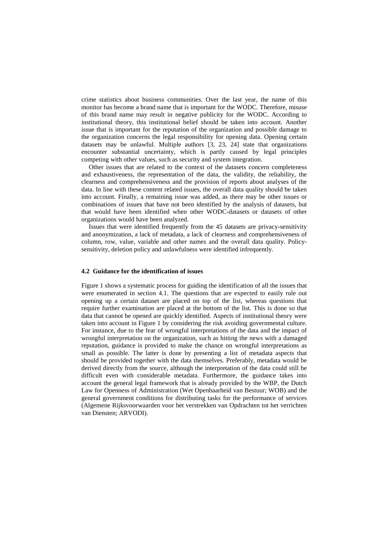crime statistics about business communities. Over the last year, the name of this monitor has become a brand name that is important for the WODC. Therefore, misuse of this brand name may result in negative publicity for the WODC. According to institutional theory, this institutional belief should be taken into account. Another issue that is important for the reputation of the organization and possible damage to the organization concerns the legal responsibility for opening data. Opening certain datasets may be unlawful. Multiple authors [3, 23, 24] state that organizations encounter substantial uncertainty, which is partly caused by legal principles competing with other values, such as security and system integration.

Other issues that are related to the context of the datasets concern completeness and exhaustiveness, the representation of the data, the validity, the reliability, the clearness and comprehensiveness and the provision of reports about analyses of the data. In line with these content related issues, the overall data quality should be taken into account. Finally, a remaining issue was added, as there may be other issues or combinations of issues that have not been identified by the analysis of datasets, but that would have been identified when other WODC-datasets or datasets of other organizations would have been analyzed.

Issues that were identified frequently from the 45 datasets are privacy-sensitivity and anonymization, a lack of metadata, a lack of clearness and comprehensiveness of column, row, value, variable and other names and the overall data quality. Policysensitivity, deletion policy and unlawfulness were identified infrequently.

#### **4.2 Guidance for the identification of issues**

Figure 1 shows a systematic process for guiding the identification of all the issues that were enumerated in section 4.1. The questions that are expected to easily rule out opening up a certain dataset are placed on top of the list, whereas questions that require further examination are placed at the bottom of the list. This is done so that data that cannot be opened are quickly identified. Aspects of institutional theory were taken into account in Figure 1 by considering the risk avoiding governmental culture. For instance, due to the fear of wrongful interpretations of the data and the impact of wrongful interpretation on the organization, such as hitting the news with a damaged reputation, guidance is provided to make the chance on wrongful interpretations as small as possible. The latter is done by presenting a list of metadata aspects that should be provided together with the data themselves. Preferably, metadata would be derived directly from the source, although the interpretation of the data could still be difficult even with considerable metadata. Furthermore, the guidance takes into account the general legal framework that is already provided by the WBP, the Dutch Law for Openness of Administration (Wet Openbaarheid van Bestuur; WOB) and the general government conditions for distributing tasks for the performance of services (Algemene Rijksvoorwaarden voor het verstrekken van Opdrachten tot het verrichten van Diensten; ARVODI).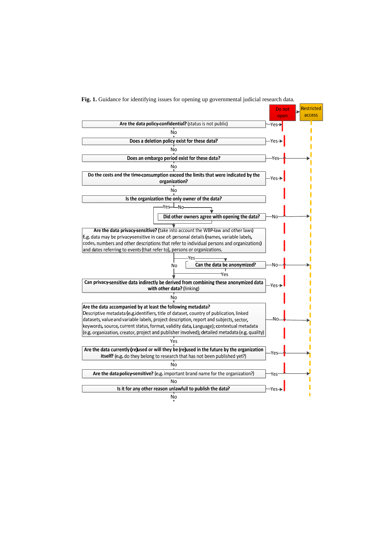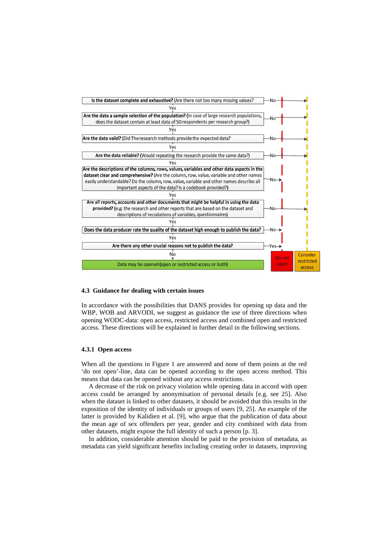

#### **4.3 Guidance for dealing with certain issues**

In accordance with the possibilities that DANS provides for opening up data and the WBP, WOB and ARVODI, we suggest as guidance the use of three directions when opening WODC-data: open access, restricted access and combined open and restricted access. These directions will be explained in further detail in the following sections.

### **4.3.1 Open access**

When all the questions in Figure 1 are answered and none of them points at the red 'do not open'-line, data can be opened according to the open access method. This means that data can be opened without any access restrictions.

A decrease of the risk on privacy violation while opening data in accord with open access could be arranged by anonymisation of personal details [e.g. see 25]. Also when the dataset is linked to other datasets, it should be avoided that this results in the exposition of the identity of individuals or groups of users [9, 25]. An example of the latter is provided by Kalidien et al. [9], who argue that the publication of data about the mean age of sex offenders per year, gender and city combined with data from other datasets, might expose the full identity of such a person [p. 3].

In addition, considerable attention should be paid to the provision of metadata, as metadata can yield significant benefits including creating order in datasets, improving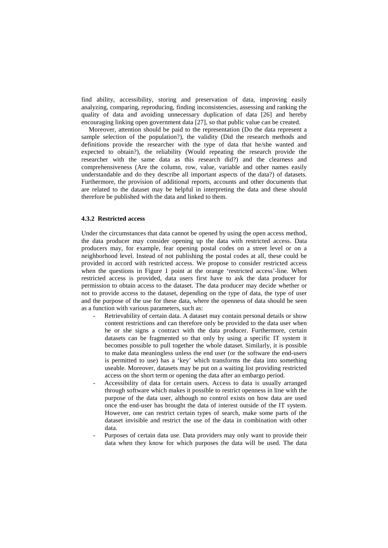find ability, accessibility, storing and preservation of data, improving easily analyzing, comparing, reproducing, finding inconsistencies, assessing and ranking the quality of data and avoiding unnecessary duplication of data [26] and hereby encouraging linking open government data [27], so that public value can be created.

Moreover, attention should be paid to the representation (Do the data represent a sample selection of the population?), the validity (Did the research methods and definitions provide the researcher with the type of data that he/she wanted and expected to obtain?), the reliability (Would repeating the research provide the researcher with the same data as this research did?) and the clearness and comprehensiveness (Are the column, row, value, variable and other names easily understandable and do they describe all important aspects of the data?) of datasets. Furthermore, the provision of additional reports, accounts and other documents that are related to the dataset may be helpful in interpreting the data and these should therefore be published with the data and linked to them.

### **4.3.2 Restricted access**

Under the circumstances that data cannot be opened by using the open access method, the data producer may consider opening up the data with restricted access. Data producers may, for example, fear opening postal codes on a street level or on a neighborhood level. Instead of not publishing the postal codes at all, these could be provided in accord with restricted access. We propose to consider restricted access when the questions in Figure 1 point at the orange 'restricted access'-line. When restricted access is provided, data users first have to ask the data producer for permission to obtain access to the dataset. The data producer may decide whether or not to provide access to the dataset, depending on the type of data, the type of user and the purpose of the use for these data, where the openness of data should be seen as a function with various parameters, such as:

- Retrievability of certain data. A dataset may contain personal details or show content restrictions and can therefore only be provided to the data user when he or she signs a contract with the data producer. Furthermore, certain datasets can be fragmented so that only by using a specific IT system it becomes possible to pull together the whole dataset. Similarly, it is possible to make data meaningless unless the end user (or the software the end-users is permitted to use) has a 'key' which transforms the data into something useable. Moreover, datasets may be put on a waiting list providing restricted access on the short term or opening the data after an embargo period.
- Accessibility of data for certain users. Access to data is usually arranged through software which makes it possible to restrict openness in line with the purpose of the data user, although no control exists on how data are used once the end-user has brought the data of interest outside of the IT system. However, one can restrict certain types of search, make some parts of the dataset invisible and restrict the use of the data in combination with other data.
- Purposes of certain data use. Data providers may only want to provide their data when they know for which purposes the data will be used. The data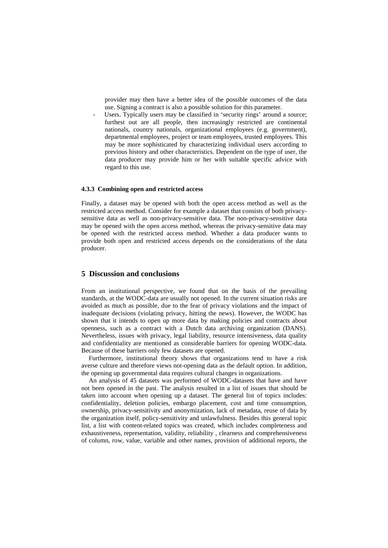provider may then have a better idea of the possible outcomes of the data use. Signing a contract is also a possible solution for this parameter.

Users. Typically users may be classified in 'security rings' around a source; furthest out are all people, then increasingly restricted are continental nationals, country nationals, organizational employees (e.g. government), departmental employees, project or team employees, trusted employees. This may be more sophisticated by characterizing individual users according to previous history and other characteristics. Dependent on the type of user, the data producer may provide him or her with suitable specific advice with regard to this use.

#### **4.3.3 Combining open and restricted access**

Finally, a dataset may be opened with both the open access method as well as the restricted access method. Consider for example a dataset that consists of both privacysensitive data as well as non-privacy-sensitive data. The non-privacy-sensitive data may be opened with the open access method, whereas the privacy-sensitive data may be opened with the restricted access method. Whether a data producer wants to provide both open and restricted access depends on the considerations of the data producer.

# **5 Discussion and conclusions**

From an institutional perspective, we found that on the basis of the prevailing standards, at the WODC-data are usually not opened. In the current situation risks are avoided as much as possible, due to the fear of privacy violations and the impact of inadequate decisions (violating privacy, hitting the news). However, the WODC has shown that it intends to open up more data by making policies and contracts about openness, such as a contract with a Dutch data archiving organization (DANS). Nevertheless, issues with privacy, legal liability, resource intensiveness, data quality and confidentiality are mentioned as considerable barriers for opening WODC-data. Because of these barriers only few datasets are opened.

Furthermore, institutional theory shows that organizations tend to have a risk averse culture and therefore views not-opening data as the default option. In addition, the opening up governmental data requires cultural changes in organizations.

An analysis of 45 datasets was performed of WODC-datasets that have and have not been opened in the past. The analysis resulted in a list of issues that should be taken into account when opening up a dataset. The general list of topics includes: confidentiality, deletion policies, embargo placement, cost and time consumption, ownership, privacy-sensitivity and anonymization, lack of metadata, reuse of data by the organization itself, policy-sensitivity and unlawfulness. Besides this general topic list, a list with content-related topics was created, which includes completeness and exhaustiveness, representation, validity, reliability , clearness and comprehensiveness of column, row, value, variable and other names, provision of additional reports, the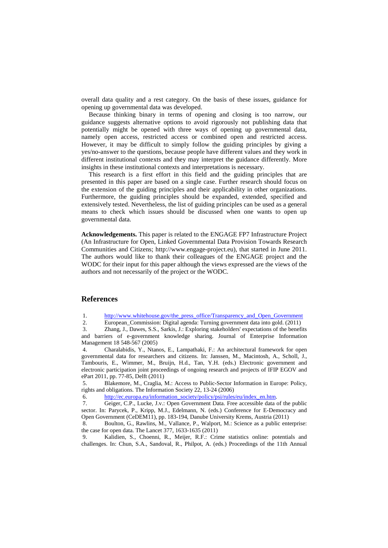overall data quality and a rest category. On the basis of these issues, guidance for opening up governmental data was developed.

Because thinking binary in terms of opening and closing is too narrow, our guidance suggests alternative options to avoid rigorously not publishing data that potentially might be opened with three ways of opening up governmental data, namely open access, restricted access or combined open and restricted access. However, it may be difficult to simply follow the guiding principles by giving a yes/no-answer to the questions, because people have different values and they work in different institutional contexts and they may interpret the guidance differently. More insights in these institutional contexts and interpretations is necessary.

This research is a first effort in this field and the guiding principles that are presented in this paper are based on a single case. Further research should focus on the extension of the guiding principles and their applicability in other organizations. Furthermore, the guiding principles should be expanded, extended, specified and extensively tested. Nevertheless, the list of guiding principles can be used as a general means to check which issues should be discussed when one wants to open up governmental data.

**Acknowledgements.** This paper is related to the ENGAGE FP7 Infrastructure Project (An Infrastructure for Open, Linked Governmental Data Provision Towards Research Communities and Citizens; http://www.engage-project.eu), that started in June 2011. The authors would like to thank their colleagues of the ENGAGE project and the WODC for their input for this paper although the views expressed are the views of the authors and not necessarily of the project or the WODC.

## **References**

1. http://www.whitehouse.gov/the\_press\_office/Transparency\_and\_Open\_Government

2. European\_Commission: Digital agenda: Turning government data into gold. (2011)

3. Zhang, J., Dawes, S.S., Sarkis, J.: Exploring stakeholders' expectations of the benefits and barriers of e-government knowledge sharing. Journal of Enterprise Information Management 18 548-567 (2005)

4. Charalabidis, Y., Ntanos, E., Lampathaki, F.: An architectural framework for open governmental data for researchers and citizens. In: Janssen, M., Macintosh, A., Scholl, J., Tambouris, E., Wimmer, M., Bruijn, H.d., Tan, Y.H. (eds.) Electronic government and electronic participation joint proceedings of ongoing research and projects of IFIP EGOV and ePart 2011, pp. 77-85, Delft (2011)

5. Blakemore, M., Craglia, M.: Access to Public-Sector Information in Europe: Policy, rights and obligations. The Information Society 22, 13-24 (2006)

6. http://ec.europa.eu/information\_society/policy/psi/rules/eu/index\_en.htm.

7. Geiger, C.P., Lucke, J.v.: Open Government Data. Free accessible data of the public sector. In: Parycek, P., Kripp, M.J., Edelmann, N. (eds.) Conference for E-Democracy and Open Government (CeDEM11), pp. 183-194, Danube University Krems, Austria (2011)

Boulton, G., Rawlins, M., Vallance, P., Walport, M.: Science as a public enterprise: the case for open data. The Lancet 377, 1633-1635 (2011)

9. Kalidien, S., Choenni, R., Meijer, R.F.: Crime statistics online: potentials and challenges. In: Chun, S.A., Sandoval, R., Philpot, A. (eds.) Proceedings of the 11th Annual